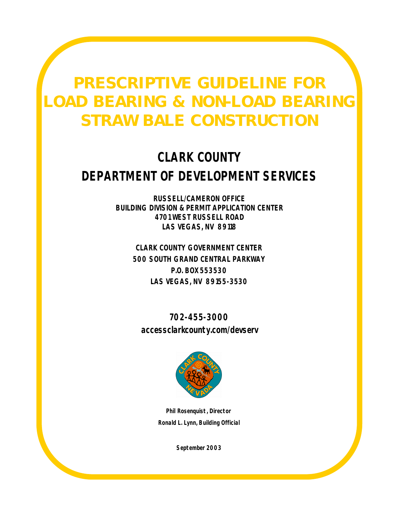# **PRESCRIPTIVE GUIDELINE FOR LOAD BEARING & NON-LOAD BEARING STRAW BALE CONSTRUCTION**

# **CLARK COUNTY DEPARTMENT OF DEVELOPMENT SERVICES**

**RUSSELL/CAMERON OFFICE BUILDING DIVISION & PERMIT APPLICATION CENTER 4701 WEST RUSSELL ROAD LAS VEGAS, NV 89118**

> **CLARK COUNTY GOVERNMENT CENTER 500 SOUTH GRAND CENTRAL PARKWAY P.O. BOX 553530 LAS VEGAS, NV 89155-3530**

**702-455-3000 accessclarkcounty.com/devserv**



**Phil Rosenquist, Director Ronald L. Lynn, Building Official**

*September 2003*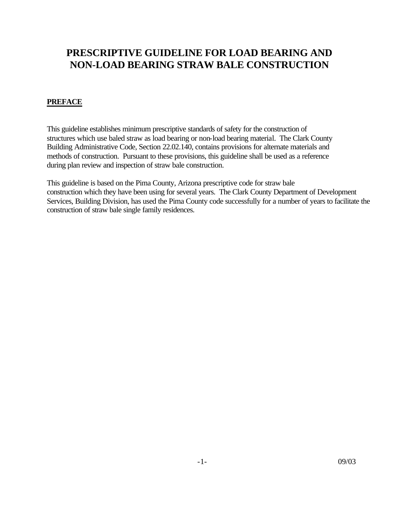## **PRESCRIPTIVE GUIDELINE FOR LOAD BEARING AND NON-LOAD BEARING STRAW BALE CONSTRUCTION**

### **PREFACE**

This guideline establishes minimum prescriptive standards of safety for the construction of structures which use baled straw as load bearing or non-load bearing material. The Clark County Building Administrative Code, Section 22.02.140, contains provisions for alternate materials and methods of construction. Pursuant to these provisions, this guideline shall be used as a reference during plan review and inspection of straw bale construction.

This guideline is based on the Pima County, Arizona prescriptive code for straw bale construction which they have been using for several years. The Clark County Department of Development Services, Building Division, has used the Pima County code successfully for a number of years to facilitate the construction of straw bale single family residences.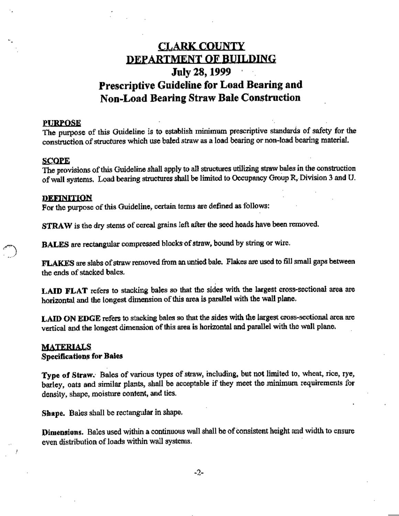# **CLARK COUNTY DEPARTMENT OF BUILDING July 28, 1999** Prescriptive Guideline for Load Bearing and **Non-Load Bearing Straw Bale Construction**

#### **PURPOSE**

The purpose of this Guideline is to establish minimum prescriptive standards of safety for the construction of structures which use baled straw as a load bearing or non-load bearing material.

#### **SCOPE**

The provisions of this Guideline shall apply to all structures utilizing straw bales in the construction of wall systems. Load bearing structures shall be limited to Occupancy Group R, Division 3 and U.

#### **DEFINITION**

For the purpose of this Guideline, certain terms are defined as follows:

STRAW is the dry stems of cereal grains left after the seed heads have been removed.

BALES are rectangular compressed blocks of straw, bound by string or wire.

FLAKES are slabs of straw removed from an untied bale. Flakes are used to fill small gaps between the ends of stacked bales.

LAID FLAT refers to stacking bales so that the sides with the largest cross-sectional area are horizontal and the longest dimension of this area is parallel with the wall plane.

LAID ON EDGE refers to stacking bales so that the sides with the largest cross-sectional area are vertical and the longest dimension of this area is horizontal and parallel with the wall plane.

#### **MATERIALS Specifications for Baies**

Type of Straw. Bales of various types of straw, including, but not limited to, wheat, rice, rye, barley, oats and similar plants, shall be acceptable if they meet the minimum requirements for

Shape. Bales shall be rectangular in shape.

density, shape, moisture content, and ties.

Dimensions. Bales used within a continuous wall shall be of consistent height and width to ensure even distribution of loads within wall systems.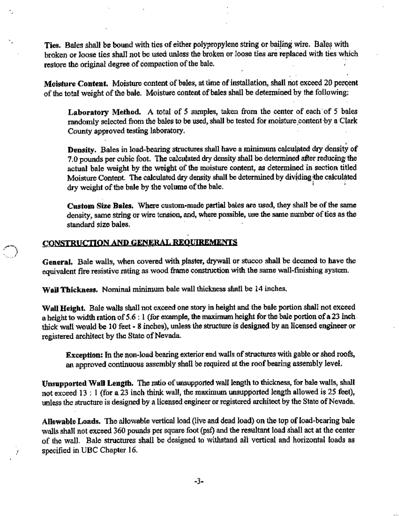Ties. Bales shall be bound with ties of either polypropylene string or bailing wire. Bales with broken or loose ties shall not be used unless the broken or loose ties are replaced with ties which restore the original degree of compaction of the bale.

Moisture Content. Moisture content of bales, at time of installation, shall not exceed 20 percent of the total weight of the bale. Moisture content of bales shall be determined by the following:

Laboratory Method. A total of 5 samples, taken from the center of each of 5 bales randomly selected from the bales to be used, shall be tested for moisture content by a Clark County approved testing laboratory.

Density. Bales in load-bearing structures shall have a minimum calculated dry density of 7.0 pounds per cubic foot. The calculated dry density shall be determined after reducing the actual bale weight by the weight of the moisture content, as determined in section titled Moisture Content. The calculated dry density shall be determined by dividing the calculated dry weight of the bale by the volume of the bale.

Custom Size Bales. Where custom-made partial bales are used, they shall be of the same density, same string or wire tension, and, where possible, use the same number of ties as the standard size bales.

### CONSTRUCTION AND GENERAL REOUREMENTS

General. Bale walls, when covered with plaster, drywall or stucco shall be deemed to have the equivalent fire resistive rating as wood frame construction with the same wall-finishing system.

Wall Thickness. Nominal minimum bale wall thickness shall be 14 inches.

Wall Height. Bale walls shall not exceed one story in height and the bale portion shall not exceed a height to width ration of  $5.6:1$  (for example, the maximum height for the bale portion of a 23 inch. thick wall would be 10 feet - 8 inches), unless the structure is designed by an licensed engineer or registered architect by the State of Nevada.

Exception: In the non-load bearing exterior end walls of structures with gable or shed roofs, an approved continuous assembly shall be required at the roof bearing assembly level.

Unsupported Wall Length. The ratio of unsupported wall length to thickness, for bale walls, shall not exceed 13 : 1 (for a 23 inch think wall, the maximum unsupported length allowed is 25 feet), unless the structure is designed by a licensed engineer or registered architect by the State of Nevada.

Allowable Loads. The allowable vertical load (live and dead load) on the top of load-bearing bale walls shall not exceed 360 pounds per square foot (psf) and the resultant load shall act at the center of the wall. Bale structures shall be designed to withstand all vertical and horizontal loads as specified in UBC Chapter 16.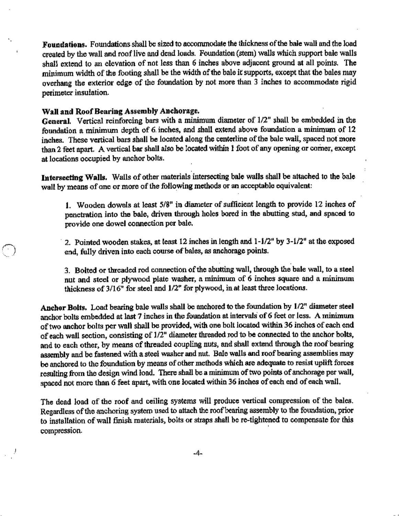Foundations. Foundations shall be sized to accommodate the thickness of the bale wall and the load created by the wall and roof live and dead loads. Foundation (stem) walls which support bale walls shall extend to an elevation of not less than 6 inches above adjacent ground at all points. The minimum width of the footing shall be the width of the bale it supports, except that the bales may overhang the exterior edge of the foundation by not more than 3 inches to accommodate rigid perimeter insulation.

#### Wall and Roof Bearing Assembly Anchorage.

General. Vertical reinforcing bars with a minimum diameter of 1/2" shall be embedded in the foundation a minimum depth of 6 inches, and shall extend above foundation a minimum of 12 inches. These vertical bars shall be located along the centerline of the bale wall, spaced not more than 2 feet apart. A vertical bar shall also be located within 1 foot of any opening or corner, except at locations occupied by anchor bolts.

Intersecting Walls. Walls of other materials intersecting bale walls shall be attached to the bale wall by means of one or more of the following methods or an acceptable equivalent:

1. Wooden dowels at least 5/8" in diameter of sufficient length to provide 12 inches of penetration into the bale, driven through holes bored in the abutting stud, and spaced to provide one dowel connection per bale.

2. Pointed wooden stakes, at least 12 inches in length and 1-1/2" by 3-1/2" at the exposed end, fully driven into each course of bales, as anchorage points.

3. Bolted or threaded rod connection of the abutting wall, through the bale wall, to a steel nut and steel or plywood plate washer, a minimum of 6 inches square and a minimum thickness of 3/16" for steel and 1/2" for plywood, in at least three locations.

Anchor Bolts. Load bearing bale walls shall be anchored to the foundation by 1/2" diameter steel anchor bolts embedded at last 7 inches in the foundation at intervals of 6 feet or less. A minimum of two anchor bolts per wall shall be provided, with one bolt located within 36 inches of each end of each wall section, consisting of 1/2" diameter threaded rod to be connected to the anchor bolts, and to each other, by means of threaded coupling nuts, and shall extend through the roof bearing assembly and be fastened with a steel washer and nut. Bale walls and roof bearing assemblies may be anchored to the foundation by means of other methods which are adequate to resist uplift forces resulting from the design wind load. There shall be a minimum of two points of anchorage per wall, spaced not more than 6 feet apart, with one located within 36 inches of each end of each wail.

The dead load of the roof and ceiling systems will produce vertical compression of the bales. Regardless of the anchoring system used to attach the roof bearing assembly to the foundation, prior to installation of wall finish materials, bolts or straps shall be re-tightened to compensate for this compression.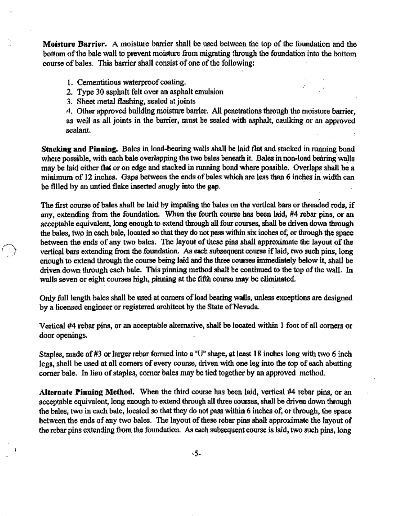Moisture Barrier. A moisture barrier shall be used between the top of the foundation and the bottom of the bale wall to prevent moisture from migrating through the foundation into the bottom course of bales. This barrier shall consist of one of the following:

- 1. Cementitious waterproof coating.
- 2. Type 30 asphalt felt over an asphalt emulsion
- 3. Sheet metal flashing, sealed at joints

4. Other approved building moisture barrier. All penetrations through the moisture barrier, as well as all joints in the barrier, must be sealed with asphalt, caulking or an approved sealant.

Stacking and Pinning. Bales in load-bearing walls shall be laid flat and stacked in running bond where possible, with each bale overlapping the two bales beneath it. Bales in non-load bearing walls may be laid either flat or on edge and stacked in running bond where possible. Overlaps shall be a minimum of 12 inches. Gaps between the ends of bales which are less than 6 inches in width can be filled by an untied flake inserted snugly into the gap.

The first course of bales shall be laid by impaling the bales on the vertical bars or threaded rods, if any, extending from the foundation. When the fourth course has been laid, #4 rebar pins, or an acceptable equivalent, long enough to extend through all four courses, shall be driven down through the bales, two in each bale, located so that they do not pass within six inches of, or through the space between the ends of any two bales. The layout of these pins shall approximate the layout of the vertical bars extending from the foundation. As each subsequent course if laid, two such pins, long enough to extend through the course being laid and the three courses immediately below it, shall be driven down through each bale. This pinning method shall be continued to the top of the wall. In walls seven or eight courses high, pinning at the fifth course may be eliminated.

Only full length bales shall be used at corners of load bearing wails, unless exceptions are designed by a licensed engineer or registered architect by the State of Nevada.

Vertical #4 rebar pins, or an acceptable alternative, shall be located within 1 foot of all corners or door openings.

Staples, made of #3 or larger rebar formed into a "U" shape, at least 18 inches long with two 6 inch legs, shall be used at all corners of every course, driven with one leg into the top of each abutting corner bale. In lieu of staples, corner bales may be tied together by an approved method.

Alternate Pinning Method. When the third course has been laid, vertical #4 rebar pins, or an acceptable equivalent, long enough to extend through all three courses, shall be driven down through the bales, two in each bale, located so that they do not pass within 6 inches of, or through, the space between the ends of any two bales. The layout of these rebar pins shall approximate the layout of the rebar pins extending from the foundation. As each subsequent course is laid, two such pins, long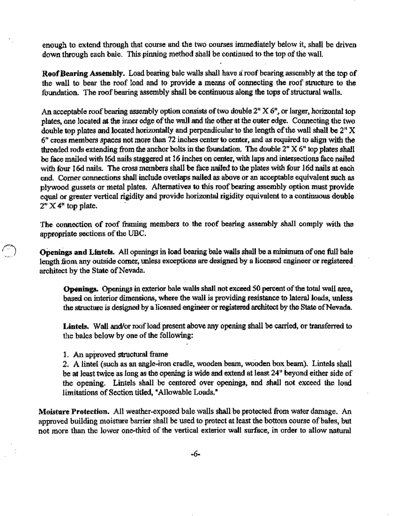enough to extend through that course and the two courses immediately below it, shall be driven down through each bale. This pinning method shall be continued to the top of the wall.

Roof Bearing Assembly. Load bearing bale walls shall have a roof bearing assembly at the top of the wall to bear the roof load and to provide a means of connecting the roof structure to the foundation. The roof bearing assembly shall be continuous along the tops of structural walls.

An acceptable roof bearing assembly option consists of two double 2" X 6", or larger, horizontal top plates, one located at the inner edge of the wall and the other at the outer edge. Connecting the two double top plates and located horizontally and perpendicular to the length of the wall shall be 2" X 6" cross members spaces not more than 72 inches center to center, and as required to align with the threaded rods extending from the anchor bolts in the foundation. The double 2" X 6" top plates shall be face mailed with 16d nails staggered at 16 inches on center, with laps and intersections face nailed with four 16d nails. The cross members shall be face nailed to the plates with four 16d nails at each end. Corner connections shall include overlaps nailed as above or an acceptable equivalent such as plywood gussets or metal plates. Alternatives to this roof bearing assembly option must provide equal or greater vertical rigidity and provide horizontal rigidity equivalent to a continuous double  $2"$  X  $4"$  top plate.

The connection of roof framing members to the roof bearing assembly shall comply with the appropriate sections of the UBC.

Openings and Lintels. All openings in load bearing baie walls shall be a minimum of one full baie length from any outside corner, unless exceptions are designed by a licensed engineer or registered architect by the State of Nevada.

Openings. Openings in exterior bale walls shall not exceed 50 percent of the total wall area, based on interior dimensions, where the wall is providing resistance to lateral loads, unless the structure is designed by a licensed engineer or registered architect by the State of Nevada.

Lintels. Wall and/or roof load present above any opening shall be carried, or transferred to the bales below by one of the following:

1. An approved structural frame

∕∵`

2. A lintel (such as an angle-iron cradle, wooden beam, wooden box beam). Lintels shall be at least twice as long as the opening is wide and extend at least 24" beyond either side of the opening. Lintels shall be centered over openings, and shall not exceed the load limitations of Section titled, "Allowable Loads."

Moisture Protection. All weather-exposed bale walls shall be protected from water damage. An approved building moisture barrier shall be used to protect at least the bottom course of bales, but not more than the lower one-third of the vertical exterior wall surface, in order to allow natural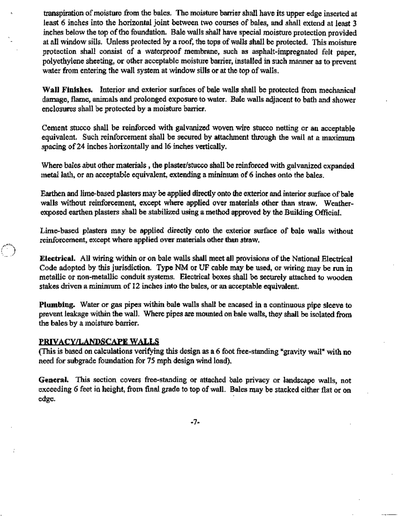transpiration of moisture from the bales. The moisture barrier shall have its upper edge inserted at least 6 inches into the horizontal joint between two courses of bales, and shall extend at least 3 inches below the top of the foundation. Bale walls shall have special moisture protection provided at all window sills. Unless protected by a roof, the tops of walls shall be protected. This moisture protection shall consist of a waterproof membrane, such as asphalt-impregnated felt paper. polyethylene sheeting, or other acceptable moisture barrier, installed in such manner as to prevent water from entering the wall system at window sills or at the top of walls.

Wall Finishes. Interior and exterior surfaces of bale walls shall be protected from mechanical damage, flame, animals and prolonged exposure to water. Bale walls adjacent to bath and shower enclosures shall be protected by a moisture barrier.

Cement stucco shall be reinforced with galvanized woven wire stucco netting or an acceptable equivalent. Such reinforcement shall be secured by attachment through the wail at a maximum spacing of 24 inches horizontally and 16 inches vertically.

Where bales abut other materials, the plaster/stucco shall be reinforced with galvanized expanded metal lath, or an acceptable equivalent, extending a minimum of 6 inches onto the bales.

Earthen and lime-based plasters may be applied directly onto the exterior and interior surface of bale walls without reinforcement, except where applied over materials other than straw. Weatherexposed earthen plasters shall be stabilized using a method approved by the Building Official.

Lime-based plasters may be applied directly onto the exterior surface of bale walls without reinforcement, except where applied over materials other than straw.

Electrical. All wiring within or on bale walls shall meet all provisions of the National Electrical Code adopted by this jurisdiction. Type NM or UF cable may be used, or wiring may be run in metallic or non-metallic conduit systems. Electrical boxes shall be securely attached to wooden stakes driven a minimum of 12 inches into the bales, or an acceptable equivalent.

Plumbing. Water or gas pipes within bale walls shall be encased in a continuous pipe sleeve to prevent leakage within the wall. Where pipes are mounted on bale walls, they shall be isolated from the bales by a moisture barrier.

#### PRIVACY/LANDSCAPE WALLS

Œ.,

(This is based on calculations verifying this design as a 6 foot free-standing "gravity wall" with no need for subgrade foundation for 75 mph design wind load).

General. This section covers free-standing or attached bale privacy or landscape walls, not exceeding 6 feet in height, from final grade to top of wall. Bales may be stacked either flat or on edge.

-7-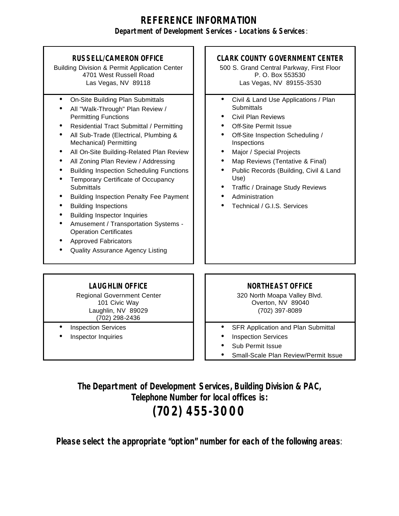## **REFERENCE INFORMATION Department of Development Services - Locations & Services**:

#### **RUSSELL/CAMERON OFFICE** Building Division & Permit Application Center 4701 West Russell Road Las Vegas, NV 89118 **CLARK COUNTY GOVERNMENT CENTER** 500 S. Grand Central Parkway, First Floor P. O. Box 553530 Las Vegas, NV 89155-3530 • On-Site Building Plan Submittals • All "Walk-Through" Plan Review / Permitting Functions • Residential Tract Submittal / Permitting • All Sub-Trade (Electrical, Plumbing & Mechanical) Permitting • All On-Site Building-Related Plan Review • All Zoning Plan Review / Addressing • Building Inspection Scheduling Functions • Temporary Certificate of Occupancy **Submittals** • Building Inspection Penalty Fee Payment • Building Inspections • Building Inspector Inquiries • Amusement / Transportation Systems - Operation Certificates • Approved Fabricators • Quality Assurance Agency Listing • Civil & Land Use Applications / Plan **Submittals** • Civil Plan Reviews **Off-Site Permit Issue** • Off-Site Inspection Scheduling / Inspections • Major / Special Projects • Map Reviews (Tentative & Final) • Public Records (Building, Civil & Land Use) • Traffic / Drainage Study Reviews **Administration** • Technical / G.I.S. Services

## **LAUGHLIN OFFICE**

Regional Government Center 101 Civic Way Laughlin, NV 89029 (702) 298-2436

- **Inspection Services**
- Inspector Inquiries

### **NORTHEAST OFFICE**

320 North Moapa Valley Blvd. Overton, NV 89040 (702) 397-8089

- SFR Application and Plan Submittal
- Inspection Services
- Sub Permit Issue
- Small-Scale Plan Review/Permit Issue

**The Department of Development Services, Building Division & PAC, Telephone Number for local offices is:**

# **(702) 455-3000**

**Please select the appropriate "option" number for each of the following areas**: